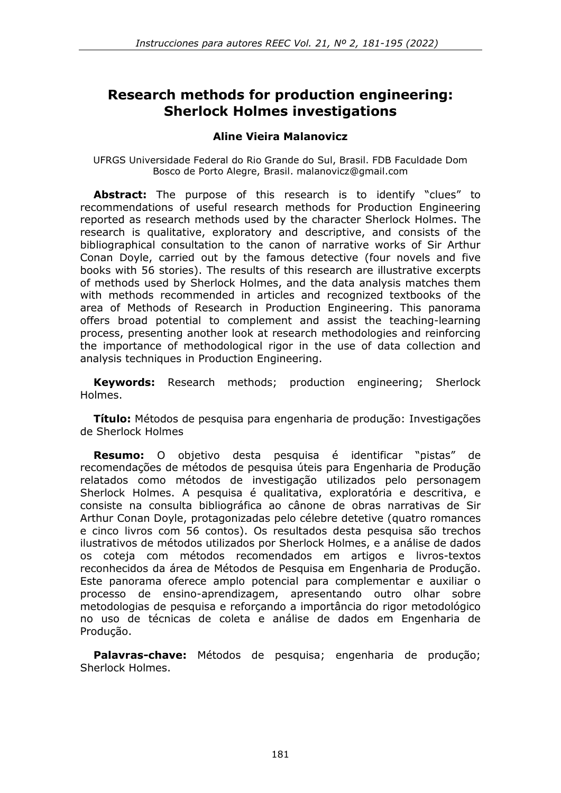# **Research methods for production engineering: Sherlock Holmes investigations**

#### **Aline Vieira Malanovicz**

UFRGS Universidade Federal do Rio Grande do Sul, Brasil. FDB Faculdade Dom Bosco de Porto Alegre, Brasil. [malanovicz@gmail.com](mailto:malanovicz@gmail.com)

**Abstract:** The purpose of this research is to identify "clues" to recommendations of useful research methods for Production Engineering reported as research methods used by the character Sherlock Holmes. The research is qualitative, exploratory and descriptive, and consists of the bibliographical consultation to the canon of narrative works of Sir Arthur Conan Doyle, carried out by the famous detective (four novels and five books with 56 stories). The results of this research are illustrative excerpts of methods used by Sherlock Holmes, and the data analysis matches them with methods recommended in articles and recognized textbooks of the area of Methods of Research in Production Engineering. This panorama offers broad potential to complement and assist the teaching-learning process, presenting another look at research methodologies and reinforcing the importance of methodological rigor in the use of data collection and analysis techniques in Production Engineering.

**Keywords:** Research methods; production engineering; Sherlock Holmes.

**Título:** Métodos de pesquisa para engenharia de produção: Investigações de Sherlock Holmes

**Resumo:** O objetivo desta pesquisa é identificar "pistas" de recomendações de métodos de pesquisa úteis para Engenharia de Produção relatados como métodos de investigação utilizados pelo personagem Sherlock Holmes. A pesquisa é qualitativa, exploratória e descritiva, e consiste na consulta bibliográfica ao cânone de obras narrativas de Sir Arthur Conan Doyle, protagonizadas pelo célebre detetive (quatro romances e cinco livros com 56 contos). Os resultados desta pesquisa são trechos ilustrativos de métodos utilizados por Sherlock Holmes, e a análise de dados os coteja com métodos recomendados em artigos e livros-textos reconhecidos da área de Métodos de Pesquisa em Engenharia de Produção. Este panorama oferece amplo potencial para complementar e auxiliar o processo de ensino-aprendizagem, apresentando outro olhar sobre metodologias de pesquisa e reforçando a importância do rigor metodológico no uso de técnicas de coleta e análise de dados em Engenharia de Produção.

**Palavras-chave:** Métodos de pesquisa; engenharia de produção; Sherlock Holmes.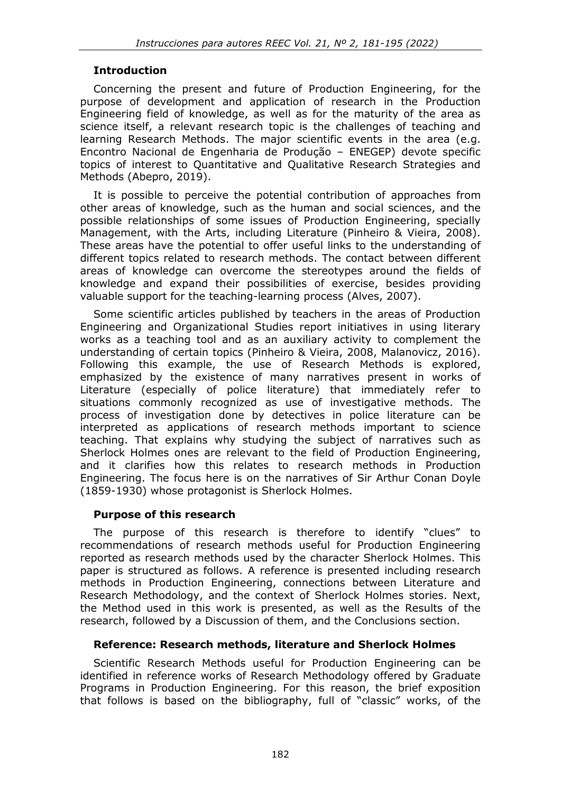### **Introduction**

Concerning the present and future of Production Engineering, for the purpose of development and application of research in the Production Engineering field of knowledge, as well as for the maturity of the area as science itself, a relevant research topic is the challenges of teaching and learning Research Methods. The major scientific events in the area (e.g. Encontro Nacional de Engenharia de Produção – ENEGEP) devote specific topics of interest to Quantitative and Qualitative Research Strategies and Methods (Abepro, 2019).

It is possible to perceive the potential contribution of approaches from other areas of knowledge, such as the human and social sciences, and the possible relationships of some issues of Production Engineering, specially Management, with the Arts, including Literature (Pinheiro & Vieira, 2008). These areas have the potential to offer useful links to the understanding of different topics related to research methods. The contact between different areas of knowledge can overcome the stereotypes around the fields of knowledge and expand their possibilities of exercise, besides providing valuable support for the teaching-learning process (Alves, 2007).

Some scientific articles published by teachers in the areas of Production Engineering and Organizational Studies report initiatives in using literary works as a teaching tool and as an auxiliary activity to complement the understanding of certain topics (Pinheiro & Vieira, 2008, Malanovicz, 2016). Following this example, the use of Research Methods is explored, emphasized by the existence of many narratives present in works of Literature (especially of police literature) that immediately refer to situations commonly recognized as use of investigative methods. The process of investigation done by detectives in police literature can be interpreted as applications of research methods important to science teaching. That explains why studying the subject of narratives such as Sherlock Holmes ones are relevant to the field of Production Engineering, and it clarifies how this relates to research methods in Production Engineering. The focus here is on the narratives of Sir Arthur Conan Doyle (1859-1930) whose protagonist is Sherlock Holmes.

### **Purpose of this research**

The purpose of this research is therefore to identify "clues" to recommendations of research methods useful for Production Engineering reported as research methods used by the character Sherlock Holmes. This paper is structured as follows. A reference is presented including research methods in Production Engineering, connections between Literature and Research Methodology, and the context of Sherlock Holmes stories. Next, the Method used in this work is presented, as well as the Results of the research, followed by a Discussion of them, and the Conclusions section.

### **Reference: Research methods, literature and Sherlock Holmes**

Scientific Research Methods useful for Production Engineering can be identified in reference works of Research Methodology offered by Graduate Programs in Production Engineering. For this reason, the brief exposition that follows is based on the bibliography, full of "classic" works, of the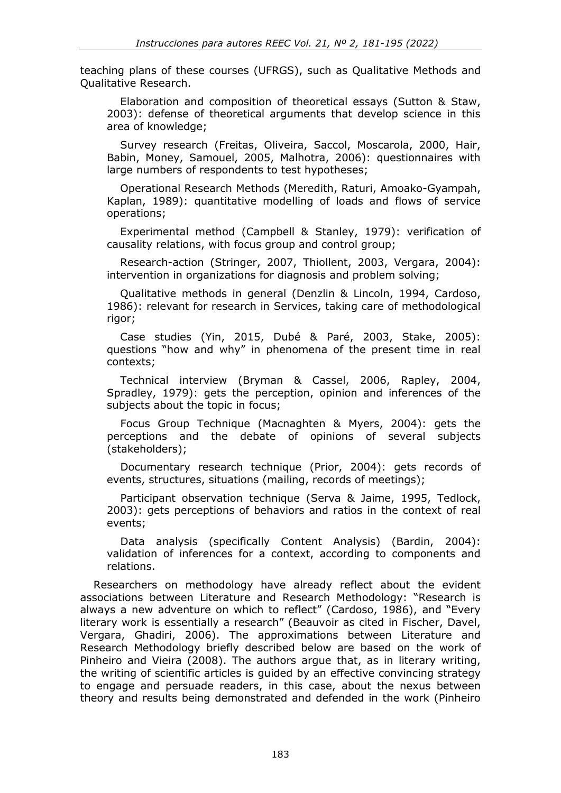teaching plans of these courses (UFRGS), such as Qualitative Methods and Qualitative Research.

Elaboration and composition of theoretical essays (Sutton & Staw, 2003): defense of theoretical arguments that develop science in this area of knowledge;

Survey research (Freitas, Oliveira, Saccol, Moscarola, 2000, Hair, Babin, Money, Samouel, 2005, Malhotra, 2006): questionnaires with large numbers of respondents to test hypotheses;

Operational Research Methods (Meredith, Raturi, Amoako-Gyampah, Kaplan, 1989): quantitative modelling of loads and flows of service operations;

Experimental method (Campbell & Stanley, 1979): verification of causality relations, with focus group and control group;

Research-action (Stringer, 2007, Thiollent, 2003, Vergara, 2004): intervention in organizations for diagnosis and problem solving;

Qualitative methods in general (Denzlin & Lincoln, 1994, Cardoso, 1986): relevant for research in Services, taking care of methodological rigor;

Case studies (Yin, 2015, Dubé & Paré, 2003, Stake, 2005): questions "how and why" in phenomena of the present time in real contexts;

Technical interview (Bryman & Cassel, 2006, Rapley, 2004, Spradley, 1979): gets the perception, opinion and inferences of the subjects about the topic in focus;

Focus Group Technique (Macnaghten & Myers, 2004): gets the perceptions and the debate of opinions of several subjects (stakeholders);

Documentary research technique (Prior, 2004): gets records of events, structures, situations (mailing, records of meetings);

Participant observation technique (Serva & Jaime, 1995, Tedlock, 2003): gets perceptions of behaviors and ratios in the context of real events;

Data analysis (specifically Content Analysis) (Bardin, 2004): validation of inferences for a context, according to components and relations.

Researchers on methodology have already reflect about the evident associations between Literature and Research Methodology: "Research is always a new adventure on which to reflect" (Cardoso, 1986), and "Every literary work is essentially a research" (Beauvoir as cited in Fischer, Davel, Vergara, Ghadiri, 2006). The approximations between Literature and Research Methodology briefly described below are based on the work of Pinheiro and Vieira (2008). The authors argue that, as in literary writing, the writing of scientific articles is guided by an effective convincing strategy to engage and persuade readers, in this case, about the nexus between theory and results being demonstrated and defended in the work (Pinheiro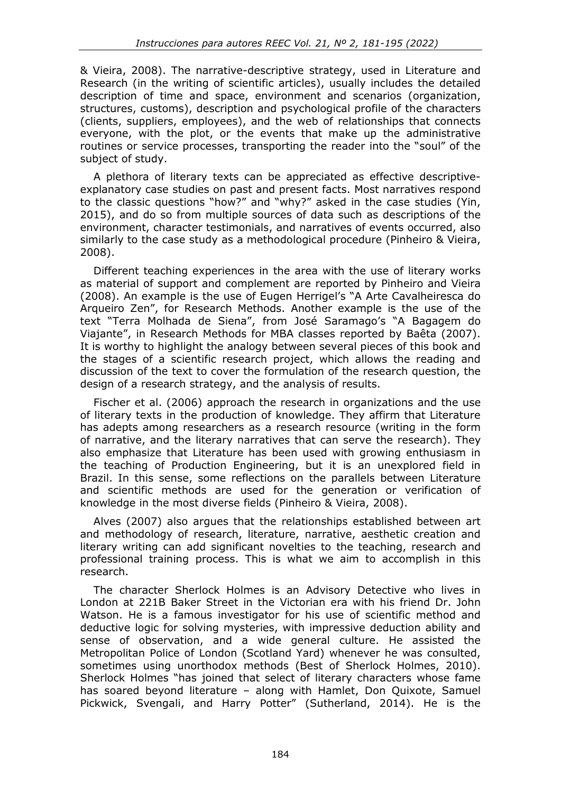& Vieira, 2008). The narrative-descriptive strategy, used in Literature and Research (in the writing of scientific articles), usually includes the detailed description of time and space, environment and scenarios (organization, structures, customs), description and psychological profile of the characters (clients, suppliers, employees), and the web of relationships that connects everyone, with the plot, or the events that make up the administrative routines or service processes, transporting the reader into the "soul" of the subject of study.

A plethora of literary texts can be appreciated as effective descriptiveexplanatory case studies on past and present facts. Most narratives respond to the classic questions "how?" and "why?" asked in the case studies (Yin, 2015), and do so from multiple sources of data such as descriptions of the environment, character testimonials, and narratives of events occurred, also similarly to the case study as a methodological procedure (Pinheiro & Vieira, 2008).

Different teaching experiences in the area with the use of literary works as material of support and complement are reported by Pinheiro and Vieira (2008). An example is the use of Eugen Herrigel's "A Arte Cavalheiresca do Arqueiro Zen", for Research Methods. Another example is the use of the text "Terra Molhada de Siena", from José Saramago's "A Bagagem do Viajante", in Research Methods for MBA classes reported by Baêta (2007). It is worthy to highlight the analogy between several pieces of this book and the stages of a scientific research project, which allows the reading and discussion of the text to cover the formulation of the research question, the design of a research strategy, and the analysis of results.

Fischer et al. (2006) approach the research in organizations and the use of literary texts in the production of knowledge. They affirm that Literature has adepts among researchers as a research resource (writing in the form of narrative, and the literary narratives that can serve the research). They also emphasize that Literature has been used with growing enthusiasm in the teaching of Production Engineering, but it is an unexplored field in Brazil. In this sense, some reflections on the parallels between Literature and scientific methods are used for the generation or verification of knowledge in the most diverse fields (Pinheiro & Vieira, 2008).

Alves (2007) also argues that the relationships established between art and methodology of research, literature, narrative, aesthetic creation and literary writing can add significant novelties to the teaching, research and professional training process. This is what we aim to accomplish in this research.

The character Sherlock Holmes is an Advisory Detective who lives in London at 221B Baker Street in the Victorian era with his friend Dr. John Watson. He is a famous investigator for his use of scientific method and deductive logic for solving mysteries, with impressive deduction ability and sense of observation, and a wide general culture. He assisted the Metropolitan Police of London (Scotland Yard) whenever he was consulted, sometimes using unorthodox methods (Best of Sherlock Holmes, 2010). Sherlock Holmes "has joined that select of literary characters whose fame has soared beyond literature – along with Hamlet, Don Quixote, Samuel Pickwick, Svengali, and Harry Potter" (Sutherland, 2014). He is the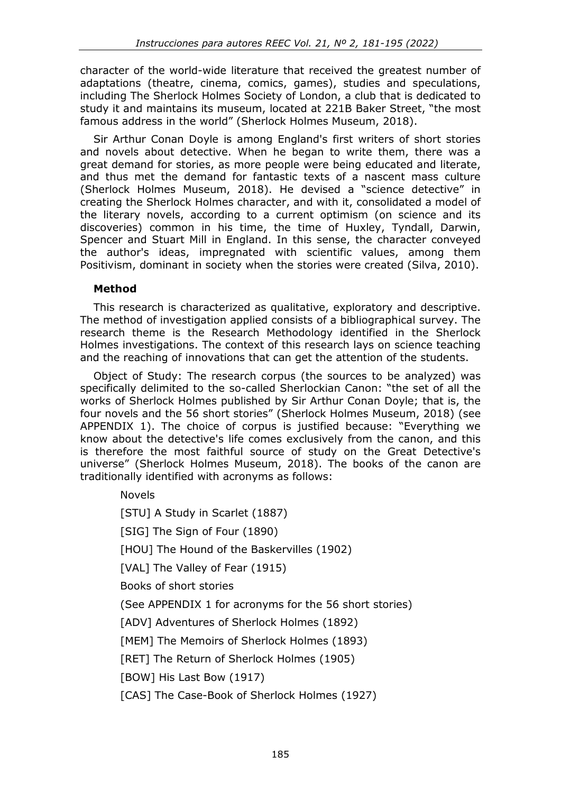character of the world-wide literature that received the greatest number of adaptations (theatre, cinema, comics, games), studies and speculations, including The Sherlock Holmes Society of London, a club that is dedicated to study it and maintains its museum, located at 221B Baker Street, "the most famous address in the world" (Sherlock Holmes Museum, 2018).

Sir Arthur Conan Doyle is among England's first writers of short stories and novels about detective. When he began to write them, there was a great demand for stories, as more people were being educated and literate, and thus met the demand for fantastic texts of a nascent mass culture (Sherlock Holmes Museum, 2018). He devised a "science detective" in creating the Sherlock Holmes character, and with it, consolidated a model of the literary novels, according to a current optimism (on science and its discoveries) common in his time, the time of Huxley, Tyndall, Darwin, Spencer and Stuart Mill in England. In this sense, the character conveyed the author's ideas, impregnated with scientific values, among them Positivism, dominant in society when the stories were created (Silva, 2010).

# **Method**

This research is characterized as qualitative, exploratory and descriptive. The method of investigation applied consists of a bibliographical survey. The research theme is the Research Methodology identified in the Sherlock Holmes investigations. The context of this research lays on science teaching and the reaching of innovations that can get the attention of the students.

Object of Study: The research corpus (the sources to be analyzed) was specifically delimited to the so-called Sherlockian Canon: "the set of all the works of Sherlock Holmes published by Sir Arthur Conan Doyle; that is, the four novels and the 56 short stories" (Sherlock Holmes Museum, 2018) (see APPENDIX 1). The choice of corpus is justified because: "Everything we know about the detective's life comes exclusively from the canon, and this is therefore the most faithful source of study on the Great Detective's universe" (Sherlock Holmes Museum, 2018). The books of the canon are traditionally identified with acronyms as follows:

# Novels

[STU] A Study in Scarlet (1887)

[SIG] The Sign of Four (1890)

[HOU] The Hound of the Baskervilles (1902)

[VAL] The Valley of Fear (1915)

Books of short stories

(See APPENDIX 1 for acronyms for the 56 short stories)

[ADV] Adventures of Sherlock Holmes (1892)

[MEM] The Memoirs of Sherlock Holmes (1893)

[RET] The Return of Sherlock Holmes (1905)

[BOW] His Last Bow (1917)

[CAS] The Case-Book of Sherlock Holmes (1927)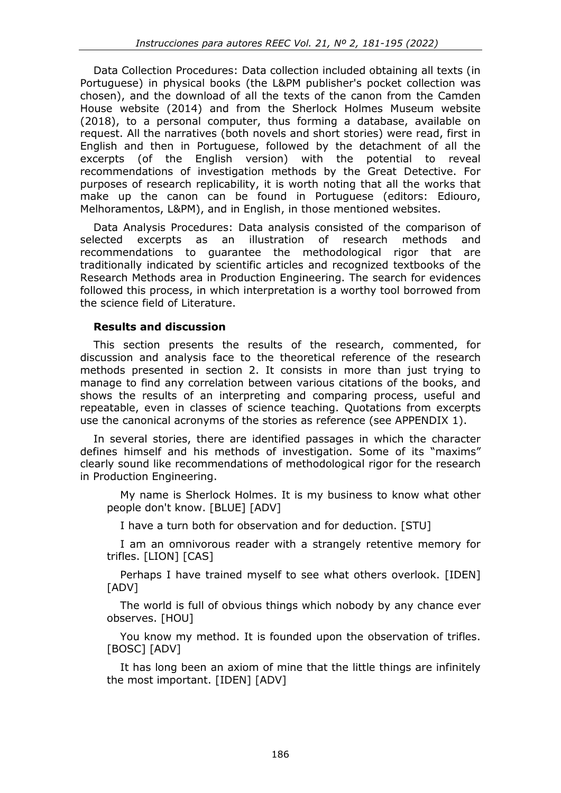Data Collection Procedures: Data collection included obtaining all texts (in Portuguese) in physical books (the L&PM publisher's pocket collection was chosen), and the download of all the texts of the canon from the Camden House website (2014) and from the Sherlock Holmes Museum website (2018), to a personal computer, thus forming a database, available on request. All the narratives (both novels and short stories) were read, first in English and then in Portuguese, followed by the detachment of all the excerpts (of the English version) with the potential to reveal recommendations of investigation methods by the Great Detective. For purposes of research replicability, it is worth noting that all the works that make up the canon can be found in Portuguese (editors: Ediouro, Melhoramentos, L&PM), and in English, in those mentioned websites.

Data Analysis Procedures: Data analysis consisted of the comparison of selected excerpts as an illustration of research methods and recommendations to guarantee the methodological rigor that are traditionally indicated by scientific articles and recognized textbooks of the Research Methods area in Production Engineering. The search for evidences followed this process, in which interpretation is a worthy tool borrowed from the science field of Literature.

### **Results and discussion**

This section presents the results of the research, commented, for discussion and analysis face to the theoretical reference of the research methods presented in section 2. It consists in more than just trying to manage to find any correlation between various citations of the books, and shows the results of an interpreting and comparing process, useful and repeatable, even in classes of science teaching. Quotations from excerpts use the canonical acronyms of the stories as reference (see APPENDIX 1).

In several stories, there are identified passages in which the character defines himself and his methods of investigation. Some of its "maxims" clearly sound like recommendations of methodological rigor for the research in Production Engineering.

My name is Sherlock Holmes. It is my business to know what other people don't know. [BLUE] [ADV]

I have a turn both for observation and for deduction. [STU]

I am an omnivorous reader with a strangely retentive memory for trifles. [LION] [CAS]

Perhaps I have trained myself to see what others overlook. [IDEN] [ADV]

The world is full of obvious things which nobody by any chance ever observes. [HOU]

You know my method. It is founded upon the observation of trifles. [BOSC] [ADV]

It has long been an axiom of mine that the little things are infinitely the most important. [IDEN] [ADV]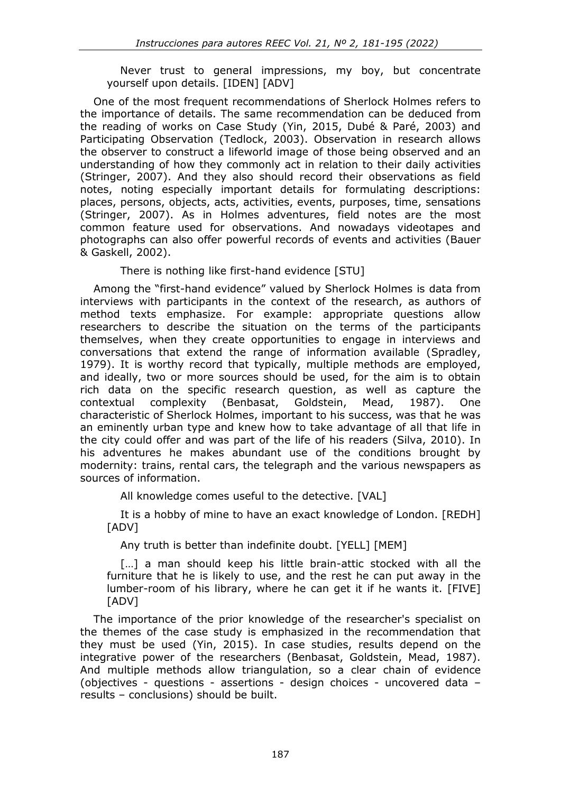Never trust to general impressions, my boy, but concentrate yourself upon details. [IDEN] [ADV]

One of the most frequent recommendations of Sherlock Holmes refers to the importance of details. The same recommendation can be deduced from the reading of works on Case Study (Yin, 2015, Dubé & Paré, 2003) and Participating Observation (Tedlock, 2003). Observation in research allows the observer to construct a lifeworld image of those being observed and an understanding of how they commonly act in relation to their daily activities (Stringer, 2007). And they also should record their observations as field notes, noting especially important details for formulating descriptions: places, persons, objects, acts, activities, events, purposes, time, sensations (Stringer, 2007). As in Holmes adventures, field notes are the most common feature used for observations. And nowadays videotapes and photographs can also offer powerful records of events and activities (Bauer & Gaskell, 2002).

There is nothing like first-hand evidence [STU]

Among the "first-hand evidence" valued by Sherlock Holmes is data from interviews with participants in the context of the research, as authors of method texts emphasize. For example: appropriate questions allow researchers to describe the situation on the terms of the participants themselves, when they create opportunities to engage in interviews and conversations that extend the range of information available (Spradley, 1979). It is worthy record that typically, multiple methods are employed, and ideally, two or more sources should be used, for the aim is to obtain rich data on the specific research question, as well as capture the contextual complexity (Benbasat, Goldstein, Mead, 1987). One characteristic of Sherlock Holmes, important to his success, was that he was an eminently urban type and knew how to take advantage of all that life in the city could offer and was part of the life of his readers (Silva, 2010). In his adventures he makes abundant use of the conditions brought by modernity: trains, rental cars, the telegraph and the various newspapers as sources of information.

All knowledge comes useful to the detective. [VAL]

It is a hobby of mine to have an exact knowledge of London. [REDH] [ADV]

Any truth is better than indefinite doubt. [YELL] [MEM]

[...] a man should keep his little brain-attic stocked with all the furniture that he is likely to use, and the rest he can put away in the lumber-room of his library, where he can get it if he wants it. [FIVE] [ADV]

The importance of the prior knowledge of the researcher's specialist on the themes of the case study is emphasized in the recommendation that they must be used (Yin, 2015). In case studies, results depend on the integrative power of the researchers (Benbasat, Goldstein, Mead, 1987). And multiple methods allow triangulation, so a clear chain of evidence (objectives - questions - assertions - design choices - uncovered data – results – conclusions) should be built.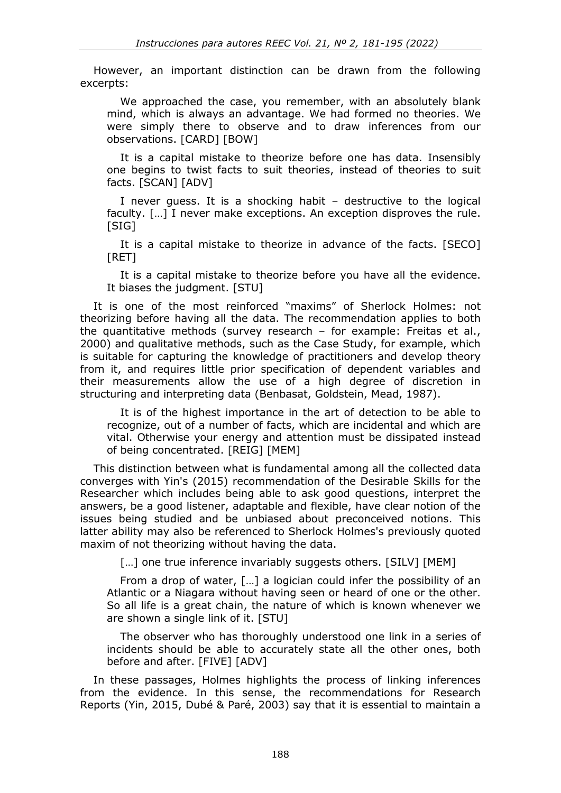However, an important distinction can be drawn from the following excerpts:

We approached the case, you remember, with an absolutely blank mind, which is always an advantage. We had formed no theories. We were simply there to observe and to draw inferences from our observations. [CARD] [BOW]

It is a capital mistake to theorize before one has data. Insensibly one begins to twist facts to suit theories, instead of theories to suit facts. [SCAN] [ADV]

I never guess. It is a shocking habit – destructive to the logical faculty. […] I never make exceptions. An exception disproves the rule. [SIG]

It is a capital mistake to theorize in advance of the facts. [SECO] [RET]

It is a capital mistake to theorize before you have all the evidence. It biases the judgment. [STU]

It is one of the most reinforced "maxims" of Sherlock Holmes: not theorizing before having all the data. The recommendation applies to both the quantitative methods (survey research – for example: Freitas et al., 2000) and qualitative methods, such as the Case Study, for example, which is suitable for capturing the knowledge of practitioners and develop theory from it, and requires little prior specification of dependent variables and their measurements allow the use of a high degree of discretion in structuring and interpreting data (Benbasat, Goldstein, Mead, 1987).

It is of the highest importance in the art of detection to be able to recognize, out of a number of facts, which are incidental and which are vital. Otherwise your energy and attention must be dissipated instead of being concentrated. [REIG] [MEM]

This distinction between what is fundamental among all the collected data converges with Yin's (2015) recommendation of the Desirable Skills for the Researcher which includes being able to ask good questions, interpret the answers, be a good listener, adaptable and flexible, have clear notion of the issues being studied and be unbiased about preconceived notions. This latter ability may also be referenced to Sherlock Holmes's previously quoted maxim of not theorizing without having the data.

[...] one true inference invariably suggests others. [SILV] [MEM]

From a drop of water, […] a logician could infer the possibility of an Atlantic or a Niagara without having seen or heard of one or the other. So all life is a great chain, the nature of which is known whenever we are shown a single link of it. [STU]

The observer who has thoroughly understood one link in a series of incidents should be able to accurately state all the other ones, both before and after. [FIVE] [ADV]

In these passages, Holmes highlights the process of linking inferences from the evidence. In this sense, the recommendations for Research Reports (Yin, 2015, Dubé & Paré, 2003) say that it is essential to maintain a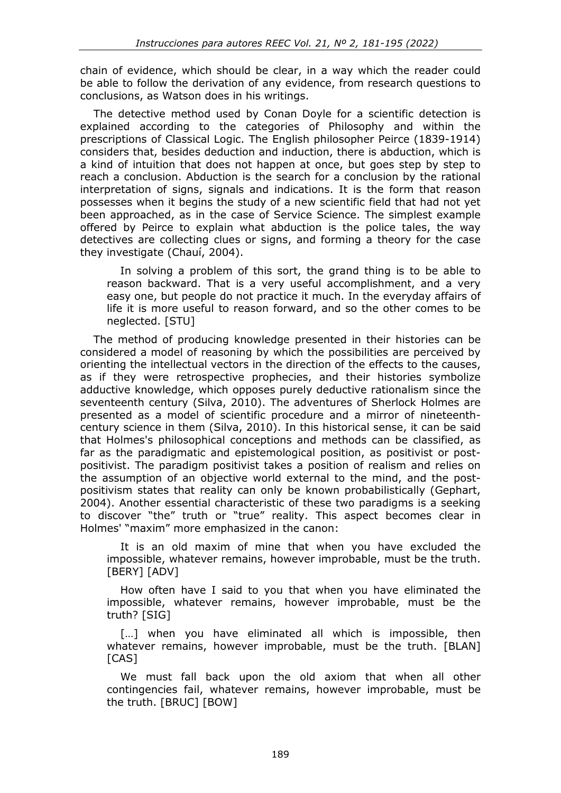chain of evidence, which should be clear, in a way which the reader could be able to follow the derivation of any evidence, from research questions to conclusions, as Watson does in his writings.

The detective method used by Conan Doyle for a scientific detection is explained according to the categories of Philosophy and within the prescriptions of Classical Logic. The English philosopher Peirce (1839-1914) considers that, besides deduction and induction, there is abduction, which is a kind of intuition that does not happen at once, but goes step by step to reach a conclusion. Abduction is the search for a conclusion by the rational interpretation of signs, signals and indications. It is the form that reason possesses when it begins the study of a new scientific field that had not yet been approached, as in the case of Service Science. The simplest example offered by Peirce to explain what abduction is the police tales, the way detectives are collecting clues or signs, and forming a theory for the case they investigate (Chauí, 2004).

In solving a problem of this sort, the grand thing is to be able to reason backward. That is a very useful accomplishment, and a very easy one, but people do not practice it much. In the everyday affairs of life it is more useful to reason forward, and so the other comes to be neglected. [STU]

The method of producing knowledge presented in their histories can be considered a model of reasoning by which the possibilities are perceived by orienting the intellectual vectors in the direction of the effects to the causes, as if they were retrospective prophecies, and their histories symbolize adductive knowledge, which opposes purely deductive rationalism since the seventeenth century (Silva, 2010). The adventures of Sherlock Holmes are presented as a model of scientific procedure and a mirror of nineteenthcentury science in them (Silva, 2010). In this historical sense, it can be said that Holmes's philosophical conceptions and methods can be classified, as far as the paradigmatic and epistemological position, as positivist or postpositivist. The paradigm positivist takes a position of realism and relies on the assumption of an objective world external to the mind, and the postpositivism states that reality can only be known probabilistically (Gephart, 2004). Another essential characteristic of these two paradigms is a seeking to discover "the" truth or "true" reality. This aspect becomes clear in Holmes' "maxim" more emphasized in the canon:

It is an old maxim of mine that when you have excluded the impossible, whatever remains, however improbable, must be the truth. [BERY] [ADV]

How often have I said to you that when you have eliminated the impossible, whatever remains, however improbable, must be the truth? [SIG]

[...] when you have eliminated all which is impossible, then whatever remains, however improbable, must be the truth. [BLAN] [CAS]

We must fall back upon the old axiom that when all other contingencies fail, whatever remains, however improbable, must be the truth. [BRUC] [BOW]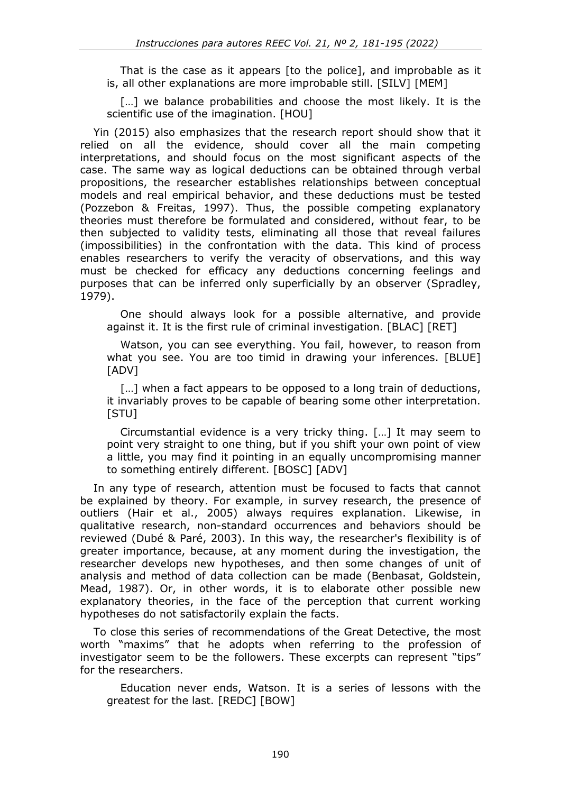That is the case as it appears [to the police], and improbable as it is, all other explanations are more improbable still. [SILV] [MEM]

[...] we balance probabilities and choose the most likely. It is the scientific use of the imagination. [HOU]

Yin (2015) also emphasizes that the research report should show that it relied on all the evidence, should cover all the main competing interpretations, and should focus on the most significant aspects of the case. The same way as logical deductions can be obtained through verbal propositions, the researcher establishes relationships between conceptual models and real empirical behavior, and these deductions must be tested (Pozzebon & Freitas, 1997). Thus, the possible competing explanatory theories must therefore be formulated and considered, without fear, to be then subjected to validity tests, eliminating all those that reveal failures (impossibilities) in the confrontation with the data. This kind of process enables researchers to verify the veracity of observations, and this way must be checked for efficacy any deductions concerning feelings and purposes that can be inferred only superficially by an observer (Spradley, 1979).

One should always look for a possible alternative, and provide against it. It is the first rule of criminal investigation. [BLAC] [RET]

Watson, you can see everything. You fail, however, to reason from what you see. You are too timid in drawing your inferences. [BLUE] [ADV]

[...] when a fact appears to be opposed to a long train of deductions, it invariably proves to be capable of bearing some other interpretation. [STU]

Circumstantial evidence is a very tricky thing. […] It may seem to point very straight to one thing, but if you shift your own point of view a little, you may find it pointing in an equally uncompromising manner to something entirely different. [BOSC] [ADV]

In any type of research, attention must be focused to facts that cannot be explained by theory. For example, in survey research, the presence of outliers (Hair et al., 2005) always requires explanation. Likewise, in qualitative research, non-standard occurrences and behaviors should be reviewed (Dubé & Paré, 2003). In this way, the researcher's flexibility is of greater importance, because, at any moment during the investigation, the researcher develops new hypotheses, and then some changes of unit of analysis and method of data collection can be made (Benbasat, Goldstein, Mead, 1987). Or, in other words, it is to elaborate other possible new explanatory theories, in the face of the perception that current working hypotheses do not satisfactorily explain the facts.

To close this series of recommendations of the Great Detective, the most worth "maxims" that he adopts when referring to the profession of investigator seem to be the followers. These excerpts can represent "tips" for the researchers.

Education never ends, Watson. It is a series of lessons with the greatest for the last. [REDC] [BOW]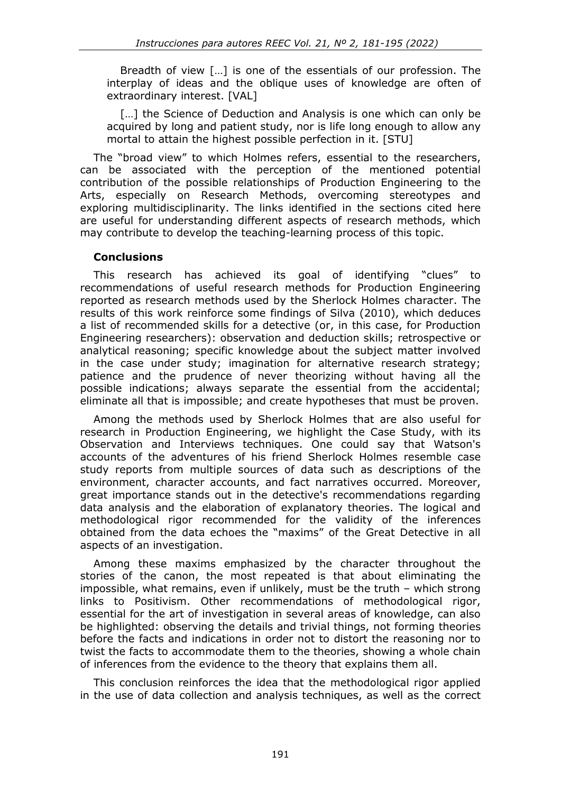Breadth of view […] is one of the essentials of our profession. The interplay of ideas and the oblique uses of knowledge are often of extraordinary interest. [VAL]

[...] the Science of Deduction and Analysis is one which can only be acquired by long and patient study, nor is life long enough to allow any mortal to attain the highest possible perfection in it. [STU]

The "broad view" to which Holmes refers, essential to the researchers, can be associated with the perception of the mentioned potential contribution of the possible relationships of Production Engineering to the Arts, especially on Research Methods, overcoming stereotypes and exploring multidisciplinarity. The links identified in the sections cited here are useful for understanding different aspects of research methods, which may contribute to develop the teaching-learning process of this topic.

#### **Conclusions**

This research has achieved its goal of identifying "clues" to recommendations of useful research methods for Production Engineering reported as research methods used by the Sherlock Holmes character. The results of this work reinforce some findings of Silva (2010), which deduces a list of recommended skills for a detective (or, in this case, for Production Engineering researchers): observation and deduction skills; retrospective or analytical reasoning; specific knowledge about the subject matter involved in the case under study; imagination for alternative research strategy; patience and the prudence of never theorizing without having all the possible indications; always separate the essential from the accidental; eliminate all that is impossible; and create hypotheses that must be proven.

Among the methods used by Sherlock Holmes that are also useful for research in Production Engineering, we highlight the Case Study, with its Observation and Interviews techniques. One could say that Watson's accounts of the adventures of his friend Sherlock Holmes resemble case study reports from multiple sources of data such as descriptions of the environment, character accounts, and fact narratives occurred. Moreover, great importance stands out in the detective's recommendations regarding data analysis and the elaboration of explanatory theories. The logical and methodological rigor recommended for the validity of the inferences obtained from the data echoes the "maxims" of the Great Detective in all aspects of an investigation.

Among these maxims emphasized by the character throughout the stories of the canon, the most repeated is that about eliminating the impossible, what remains, even if unlikely, must be the truth – which strong links to Positivism. Other recommendations of methodological rigor, essential for the art of investigation in several areas of knowledge, can also be highlighted: observing the details and trivial things, not forming theories before the facts and indications in order not to distort the reasoning nor to twist the facts to accommodate them to the theories, showing a whole chain of inferences from the evidence to the theory that explains them all.

This conclusion reinforces the idea that the methodological rigor applied in the use of data collection and analysis techniques, as well as the correct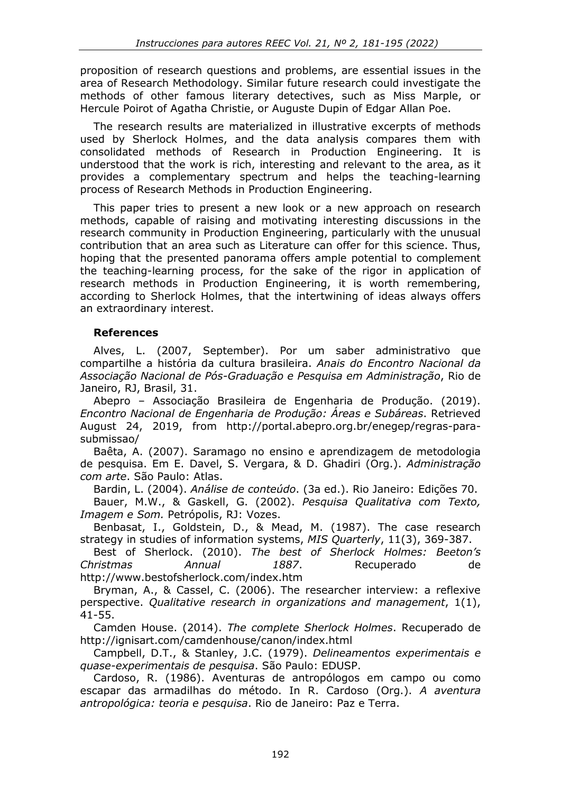proposition of research questions and problems, are essential issues in the area of Research Methodology. Similar future research could investigate the methods of other famous literary detectives, such as Miss Marple, or Hercule Poirot of Agatha Christie, or Auguste Dupin of Edgar Allan Poe.

The research results are materialized in illustrative excerpts of methods used by Sherlock Holmes, and the data analysis compares them with consolidated methods of Research in Production Engineering. It is understood that the work is rich, interesting and relevant to the area, as it provides a complementary spectrum and helps the teaching-learning process of Research Methods in Production Engineering.

This paper tries to present a new look or a new approach on research methods, capable of raising and motivating interesting discussions in the research community in Production Engineering, particularly with the unusual contribution that an area such as Literature can offer for this science. Thus, hoping that the presented panorama offers ample potential to complement the teaching-learning process, for the sake of the rigor in application of research methods in Production Engineering, it is worth remembering, according to Sherlock Holmes, that the intertwining of ideas always offers an extraordinary interest.

### **References**

Alves, L. (2007, September). Por um saber administrativo que compartilhe a história da cultura brasileira. *Anais do Encontro Nacional da Associação Nacional de Pós-Graduação e Pesquisa em Administração*, Rio de Janeiro, RJ, Brasil, 31.

Abepro – Associação Brasileira de Engenharia de Produção. (2019). *Encontro Nacional de Engenharia de Produção: Áreas e Subáreas*. Retrieved August 24, 2019, from http://portal.abepro.org.br/enegep/regras-parasubmissao/

Baêta, A. (2007). Saramago no ensino e aprendizagem de metodologia de pesquisa. Em E. Davel, S. Vergara, & D. Ghadiri (Org.). *Administração com arte*. São Paulo: Atlas.

Bardin, L. (2004). *Análise de conteúdo*. (3a ed.). Rio Janeiro: Edições 70. Bauer, M.W., & Gaskell, G. (2002). *Pesquisa Qualitativa com Texto, Imagem e Som.* Petrópolis, RJ: Vozes.

Benbasat, I., Goldstein, D., & Mead, M. (1987). The case research strategy in studies of information systems, *MIS Quarterly*, 11(3), 369-387.

Best of Sherlock. (2010). *The best of Sherlock Holmes: Beeton's Christmas Annual 1887*. Recuperado de http://www.bestofsherlock.com/index.htm

Bryman, A., & Cassel, C. (2006). The researcher interview: a reflexive perspective. *Qualitative research in organizations and management*, 1(1), 41-55.

Camden House. (2014). *The complete Sherlock Holmes*. Recuperado de http://ignisart.com/camdenhouse/canon/index.html

Campbell, D.T., & Stanley, J.C. (1979). *Delineamentos experimentais e quase-experimentais de pesquisa*. São Paulo: EDUSP.

Cardoso, R. (1986). Aventuras de antropólogos em campo ou como escapar das armadilhas do método. In R. Cardoso (Org.). *A aventura antropológica: teoria e pesquisa*. Rio de Janeiro: Paz e Terra.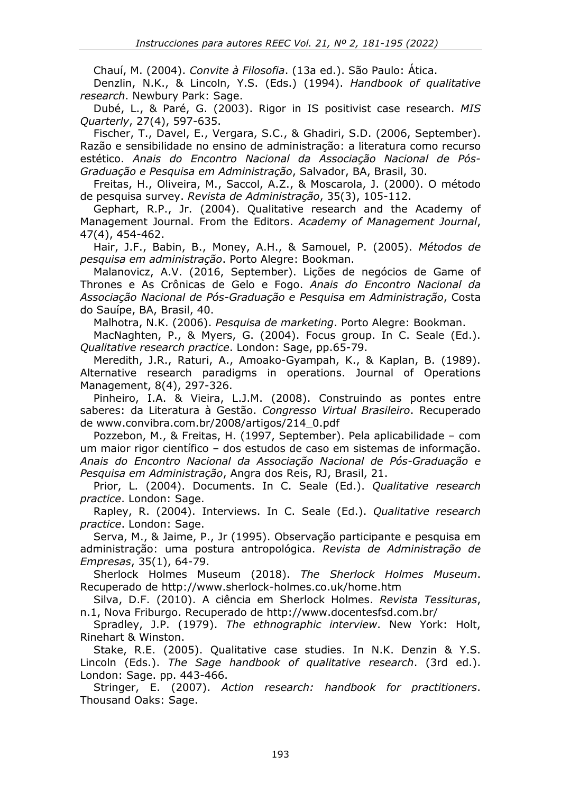Chauí, M. (2004). *Convite à Filosofia*. (13a ed.). São Paulo: Ática.

Denzlin, N.K., & Lincoln, Y.S. (Eds.) (1994). *Handbook of qualitative research*. Newbury Park: Sage.

Dubé, L., & Paré, G. (2003). Rigor in IS positivist case research. *MIS Quarterly*, 27(4), 597-635.

Fischer, T., Davel, E., Vergara, S.C., & Ghadiri, S.D. (2006, September). Razão e sensibilidade no ensino de administração: a literatura como recurso estético. *Anais do Encontro Nacional da Associação Nacional de Pós-Graduação e Pesquisa em Administração*, Salvador, BA, Brasil, 30.

Freitas, H., Oliveira, M., Saccol, A.Z., & Moscarola, J. (2000). O método de pesquisa survey. *Revista de Administração*, 35(3), 105-112.

Gephart, R.P., Jr. (2004). Qualitative research and the Academy of Management Journal. From the Editors. *Academy of Management Journal*, 47(4), 454-462.

Hair, J.F., Babin, B., Money, A.H., & Samouel, P. (2005). *Métodos de pesquisa em administração*. Porto Alegre: Bookman.

[Malanovicz, A.V.](http://lattes.cnpq.br/6226940432082596) (2016, September). Lições de negócios de Game of Thrones e As Crônicas de Gelo e Fogo. *Anais do Encontro Nacional da Associação Nacional de Pós-Graduação e Pesquisa em Administração*, Costa do Sauípe, BA, Brasil, 40.

Malhotra, N.K. (2006). *Pesquisa de marketing*. Porto Alegre: Bookman.

MacNaghten, P., & Myers, G. (2004). Focus group. In C. Seale (Ed.). *Qualitative research practice*. London: Sage, pp.65-79.

Meredith, J.R., Raturi, A., Amoako-Gyampah, K., & Kaplan, B. (1989). Alternative research paradigms in operations. Journal of Operations Management, 8(4), 297-326.

Pinheiro, I.A. & Vieira, L.J.M. (2008). Construindo as pontes entre saberes: da Literatura à Gestão. *Congresso Virtual Brasileiro*. Recuperado de www.convibra.com.br/2008/artigos/214\_0.pdf

Pozzebon, M., & Freitas, H. (1997, September). Pela aplicabilidade – com um maior rigor científico – dos estudos de caso em sistemas de informação. *Anais do Encontro Nacional da Associação Nacional de Pós-Graduação e Pesquisa em Administração*, Angra dos Reis, RJ, Brasil, 21.

Prior, L. (2004). Documents. In C. Seale (Ed.). *Qualitative research practice*. London: Sage.

Rapley, R. (2004). Interviews. In C. Seale (Ed.). *Qualitative research practice*. London: Sage.

Serva, M., & Jaime, P., Jr (1995). Observação participante e pesquisa em administração: uma postura antropológica. *Revista de Administração de Empresas*, 35(1), 64-79.

Sherlock Holmes Museum (2018). *The Sherlock Holmes Museum*. Recuperado de http://www.sherlock-holmes.co.uk/home.htm

Silva, D.F. (2010). A ciência em Sherlock Holmes. *Revista Tessituras*, n.1, Nova Friburgo. Recuperado de http://www.docentesfsd.com.br/

Spradley, J.P. (1979). *The ethnographic interview*. New York: Holt, Rinehart & Winston.

Stake, R.E. (2005). Qualitative case studies. In N.K. Denzin & Y.S. Lincoln (Eds.). *The Sage handbook of qualitative research*. (3rd ed.). London: Sage. pp. 443-466.

Stringer, E. (2007). *Action research: handbook for practitioners*. Thousand Oaks: Sage.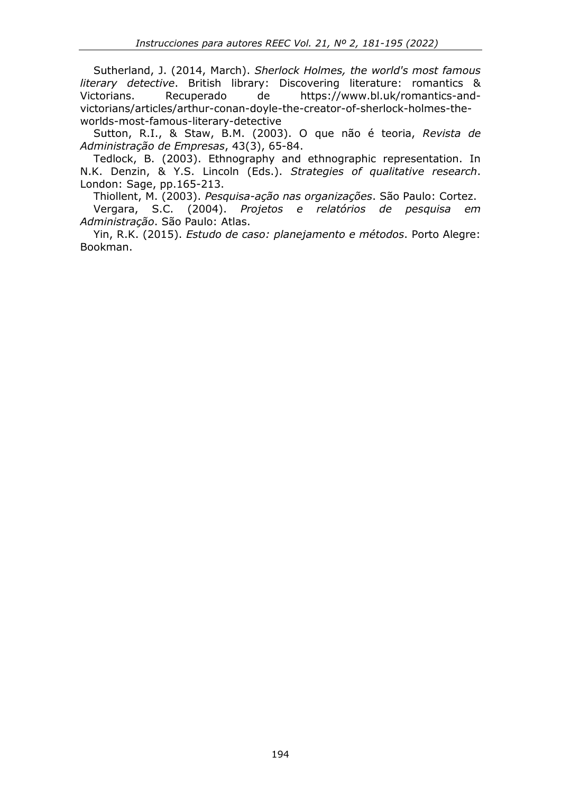Sutherland, J. (2014, March). *Sherlock Holmes, the world's most famous literary detective*. British library: Discovering literature: romantics & Victorians. Recuperado de https://www.bl.uk/romantics-andvictorians/articles/arthur-conan-doyle-the-creator-of-sherlock-holmes-theworlds-most-famous-literary-detective

Sutton, R.I., & Staw, B.M. (2003). O que não é teoria, *Revista de Administração de Empresas*, 43(3), 65-84.

Tedlock, B. (2003). Ethnography and ethnographic representation. In N.K. Denzin, & Y.S. Lincoln (Eds.). *Strategies of qualitative research*. London: Sage, pp.165-213.

Thiollent, M. (2003). *Pesquisa-ação nas organizações*. São Paulo: Cortez. Vergara, S.C. (2004). *Projetos e relatórios de pesquisa em Administração*. São Paulo: Atlas.

Yin, R.K. (2015). *Estudo de caso: planejamento e métodos*. Porto Alegre: Bookman.